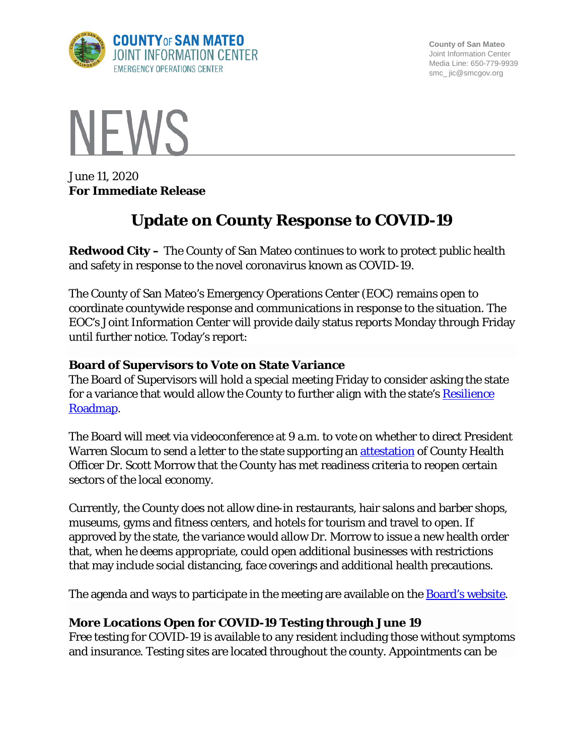

**County of San Mateo** Joint Information Center Media Line: 650-779-9939 smc\_ jic@smcgov.org



June 11, 2020 **For Immediate Release**

# **Update on County Response to COVID-19**

**Redwood City –** The County of San Mateo continues to work to protect public health and safety in response to the novel coronavirus known as COVID-19.

The County of San Mateo's Emergency Operations Center (EOC) remains open to coordinate countywide response and communications in response to the situation. The EOC's Joint Information Center will provide daily status reports Monday through Friday until further notice. Today's report:

## **Board of Supervisors to Vote on State Variance**

The Board of Supervisors will hold a special meeting Friday to consider asking the state for a variance that would allow the County to further align with the state's Resilience [Roadmap.](https://covid19.ca.gov/roadmap/)

The Board will meet via videoconference at 9 a.m. to vote on whether to direct President Warren Slocum to send a letter to the state supporting an [attestation](https://www.cdph.ca.gov/Programs/CID/DCDC/Pages/COVID-19/County_Variance_Attestation_Form.aspx) of County Health Officer Dr. Scott Morrow that the County has met readiness criteria to reopen certain sectors of the local economy.

Currently, the County does not allow dine-in restaurants, hair salons and barber shops, museums, gyms and fitness centers, and hotels for tourism and travel to open. If approved by the state, the variance would allow Dr. Morrow to issue a new health order that, when he deems appropriate, could open additional businesses with restrictions that may include social distancing, face coverings and additional health precautions.

The agenda and ways to participate in the meeting are available on the **Board's website**.

## **More Locations Open for COVID-19 Testing through June 19**

Free testing for COVID-19 is available to any resident including those without symptoms and insurance. Testing sites are located throughout the county. Appointments can be